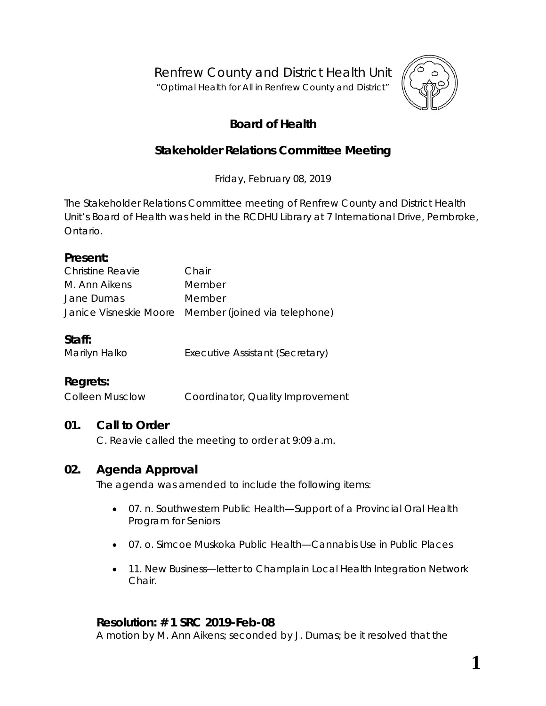Renfrew County and District Health Unit

"*Optimal Health for All in Renfrew County and District"*



# **Board of Health**

# **Stakeholder Relations Committee Meeting**

Friday, February 08, 2019

The Stakeholder Relations Committee meeting of Renfrew County and District Health Unit's Board of Health was held in the RCDHU Library at 7 International Drive, Pembroke, Ontario.

#### **Present:**

| <b>Christine Reavie</b> | Chair                                                |
|-------------------------|------------------------------------------------------|
| M. Ann Aikens           | Member                                               |
| Jane Dumas              | Member                                               |
|                         | Janice Visneskie Moore Member (joined via telephone) |

### **Staff:**

Marilyn Halko **Executive Assistant (Secretary)** 

## **Regrets:**

Colleen Musclow Coordinator, Quality Improvement

### **01. Call to Order**

C. Reavie called the meeting to order at 9:09 a.m.

### **02. Agenda Approval**

The agenda was amended to include the following items:

- 07. n. Southwestern Public Health[—Support of a Provincial Oral Health](https://portal.rcdhu.com/wp-content/uploads/2019/01/07.-n.-SMDPH-Support-of-Provincial-Oral-Health-Program-for-Seniors.pdf)  [Program for Seniors](https://portal.rcdhu.com/wp-content/uploads/2019/01/07.-n.-SMDPH-Support-of-Provincial-Oral-Health-Program-for-Seniors.pdf)
- 07. o. Simcoe Muskoka Public Health[—Cannabis Use in Public Places](https://portal.rcdhu.com/wp-content/uploads/2019/01/07.-o.-Council-of-the-Region-of-Durham-Cannabis-Use-in-Public-Places.pdf)
- 11. New Business—letter to Champlain Local Health Integration Network Chair.

#### **Resolution: # 1 SRC 2019-Feb-08**

A motion by M. Ann Aikens; seconded by J. Dumas; be it resolved that the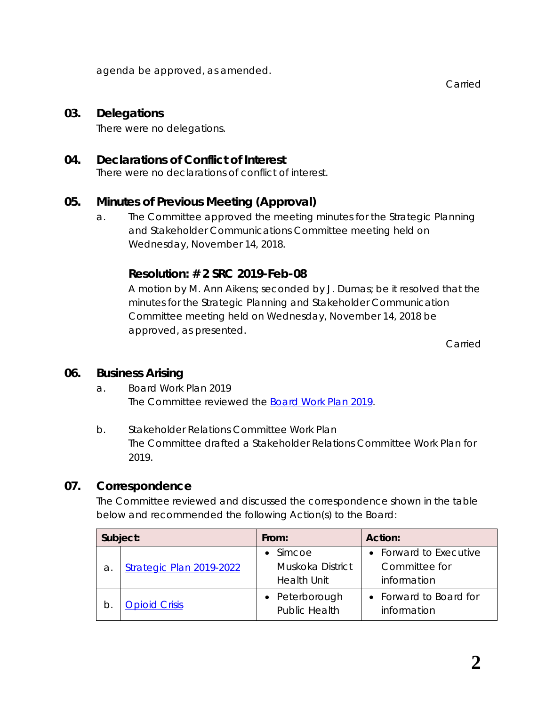agenda be approved, as amended.

Carried

#### **03. Delegations**

There were no delegations.

#### **04. Declarations of Conflict of Interest**

There were no declarations of conflict of interest.

### **05. Minutes of Previous Meeting (Approval)**

a. The Committee approved the meeting minutes for the Strategic Planning and Stakeholder Communications Committee meeting held on Wednesday, November 14, 2018.

### **Resolution: # 2 SRC 2019-Feb-08**

A motion by M. Ann Aikens; seconded by J. Dumas; be it resolved that the minutes for the Strategic Planning and Stakeholder Communication Committee meeting held on Wednesday, November 14, 2018 be approved, as presented.

Carried

#### **06. Business Arising**

- a. Board Work Plan 2019 The Committee reviewed the *[Board Work Plan 2019](https://portal.rcdhu.com/wp-content/uploads/2019/01/06.-a.-Board-Work-Plan-2019-Draft-2019-Feb-08.pdf)*.
- b. Stakeholder Relations Committee Work Plan The Committee drafted a Stakeholder Relations Committee Work Plan for 2019.

### **07. Correspondence**

The Committee reviewed and discussed the correspondence shown in the table below and recommended the following *Action*(s) to the Board:

| Subject: |                          | From:                                                      | Action:                                                |
|----------|--------------------------|------------------------------------------------------------|--------------------------------------------------------|
| а.       | Strategic Plan 2019-2022 | $\bullet$ Simcoe<br>Muskoka District<br><b>Health Unit</b> | • Forward to Executive<br>Committee for<br>information |
| b.       | <b>Opioid Crisis</b>     | • Peterborough<br><b>Public Health</b>                     | • Forward to Board for<br>information                  |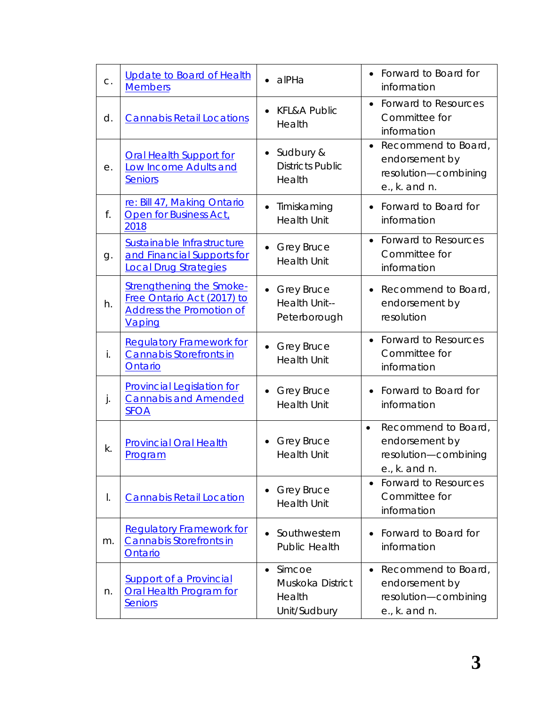| C. | <b>Update to Board of Health</b><br><b>Members</b>                                                         | alPHa                                                             | • Forward to Board for<br>information                                                             |
|----|------------------------------------------------------------------------------------------------------------|-------------------------------------------------------------------|---------------------------------------------------------------------------------------------------|
| d. | <b>Cannabis Retail Locations</b>                                                                           | <b>KFL&amp;A Public</b><br>Health                                 | • Forward to Resources<br>Committee for<br>information                                            |
| е. | <b>Oral Health Support for</b><br><b>Low Income Adults and</b><br>Seniors                                  | Sudbury &<br>$\bullet$<br><b>Districts Public</b><br>Health       | Recommend to Board,<br>$\bullet$<br>endorsement by<br>resolution-combining<br>e., k. and n.       |
| f. | re: Bill 47, Making Ontario<br>Open for Business Act,<br>2018                                              | Timiskaming<br><b>Health Unit</b>                                 | • Forward to Board for<br>information                                                             |
| g. | Sustainable Infrastructure<br>and Financial Supports for<br><b>Local Drug Strategies</b>                   | <b>Grey Bruce</b><br><b>Health Unit</b>                           | <b>Forward to Resources</b><br>Committee for<br>information                                       |
| h. | <b>Strengthening the Smoke-</b><br>Free Ontario Act (2017) to<br><b>Address the Promotion of</b><br>Vaping | <b>Grey Bruce</b><br>Health Unit--<br>Peterborough                | Recommend to Board,<br>endorsement by<br>resolution                                               |
| i. | <b>Requlatory Framework for</b><br>Cannabis Storefronts in<br>Ontario                                      | <b>Grey Bruce</b><br><b>Health Unit</b>                           | • Forward to Resources<br>Committee for<br>information                                            |
| j. | <b>Provincial Legislation for</b><br><b>Cannabis and Amended</b><br><b>SFOA</b>                            | <b>Grey Bruce</b><br><b>Health Unit</b>                           | Forward to Board for<br>information                                                               |
| k. | <b>Provincial Oral Health</b><br><b>Program</b>                                                            | <b>Grey Bruce</b><br><b>Health Unit</b>                           | Recommend to Board,<br>$\bullet$<br>endorsement by<br>resolution-combining<br>$e_{1}$ , k. and n. |
| I. | <b>Cannabis Retail Location</b>                                                                            | <b>Grey Bruce</b><br><b>Health Unit</b>                           | <b>Forward to Resources</b><br>Committee for<br>information                                       |
| m. | <b>Requiatory Framework for</b><br><b>Cannabis Storefronts in</b><br>Ontario                               | Southwestern<br><b>Public Health</b>                              | Forward to Board for<br>information                                                               |
| n. | <b>Support of a Provincial</b><br><b>Oral Health Program for</b><br><b>Seniors</b>                         | Simcoe<br>$\bullet$<br>Muskoka District<br>Health<br>Unit/Sudbury | Recommend to Board,<br>endorsement by<br>resolution-combining<br>e., k. and n.                    |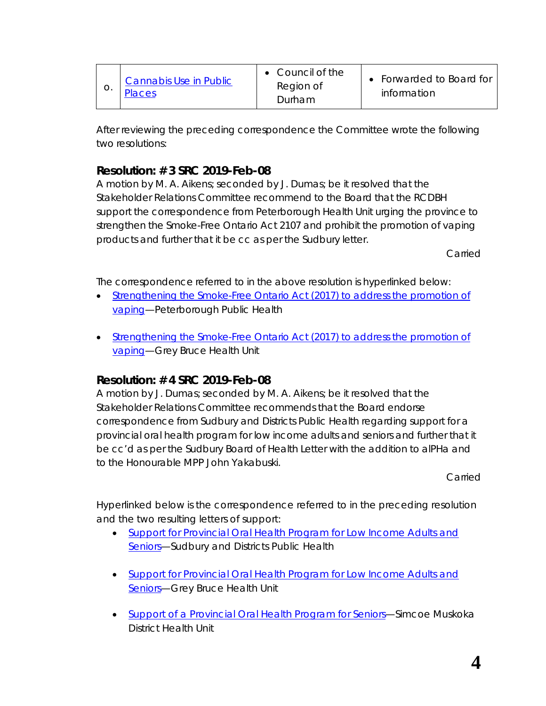| Ő. | <b>Cannabis Use in Public</b><br>Places | $\bullet$ Council of the<br>Region of<br>Durham | • Forwarded to Board for<br>information |
|----|-----------------------------------------|-------------------------------------------------|-----------------------------------------|
|----|-----------------------------------------|-------------------------------------------------|-----------------------------------------|

After reviewing the preceding correspondence the Committee wrote the following two resolutions:

## **Resolution: # 3 SRC 2019-Feb-08**

A motion by M. A. Aikens; seconded by J. Dumas; be it resolved that the Stakeholder Relations Committee recommend to the Board that the RCDBH support the correspondence from Peterborough Health Unit urging the province to strengthen the Smoke-Free Ontario Act 2107 and prohibit the promotion of vaping products and further that it be cc as per the Sudbury letter.

**Carried** 

The correspondence referred to in the above resolution is hyperlinked below:

- *Strengthening the Smoke-Free Ontario Act (2017) to address the promotion of [vaping](https://www.rcdhu.com/wp-content/uploads/2019/02/181105-Minister-Elliott-SFOA-Vaping-ns.pdf)*—Peterborough Public Health
- *[Strengthening the Smoke-Free Ontario Act](https://www.rcdhu.com/wp-content/uploads/2019/02/GBHU-BOH-Motion-2018-112-SFOA-and-Vaping.pdf) (2017) to address the promotion of [vaping](https://www.rcdhu.com/wp-content/uploads/2019/02/GBHU-BOH-Motion-2018-112-SFOA-and-Vaping.pdf)*—Grey Bruce Health Unit

### **Resolution: # 4 SRC 2019-Feb-08**

A motion by J. Dumas; seconded by M. A. Aikens; be it resolved that the Stakeholder Relations Committee recommends that the Board endorse correspondence from Sudbury and Districts Public Health regarding support for a provincial oral health program for low income adults and seniors and further that it be cc'd as per the Sudbury Board of Health Letter with the addition to alPHa and to the Honourable MPP John Yakabuski.

Carried

Hyperlinked below is the correspondence referred to in the preceding resolution and the two resulting letters of support:

- *[Support for Provincial Oral Health Program for Low Income Adults and](https://www.rcdhu.com/wp-content/uploads/2019/02/L_Board_Motion_Oral_Health_2018-12.pdf)  [Seniors](https://www.rcdhu.com/wp-content/uploads/2019/02/L_Board_Motion_Oral_Health_2018-12.pdf)*—Sudbury and Districts Public Health
- *[Support for Provincial Oral Health Program for Low Income Adults and](https://www.rcdhu.com/wp-content/uploads/2019/02/GBHU-BOH-Motion-2018-128-Provincial-Oral-Health-Program.pdf)  [Seniors](https://www.rcdhu.com/wp-content/uploads/2019/02/GBHU-BOH-Motion-2018-128-Provincial-Oral-Health-Program.pdf)*—Grey Bruce Health Unit
- *[Support of a Provincial Oral Health Program for Seniors](https://www.rcdhu.com/wp-content/uploads/2019/02/190206-Oral-Health-Program-for-Seniors.pdf)*—Simcoe Muskoka District Health Unit